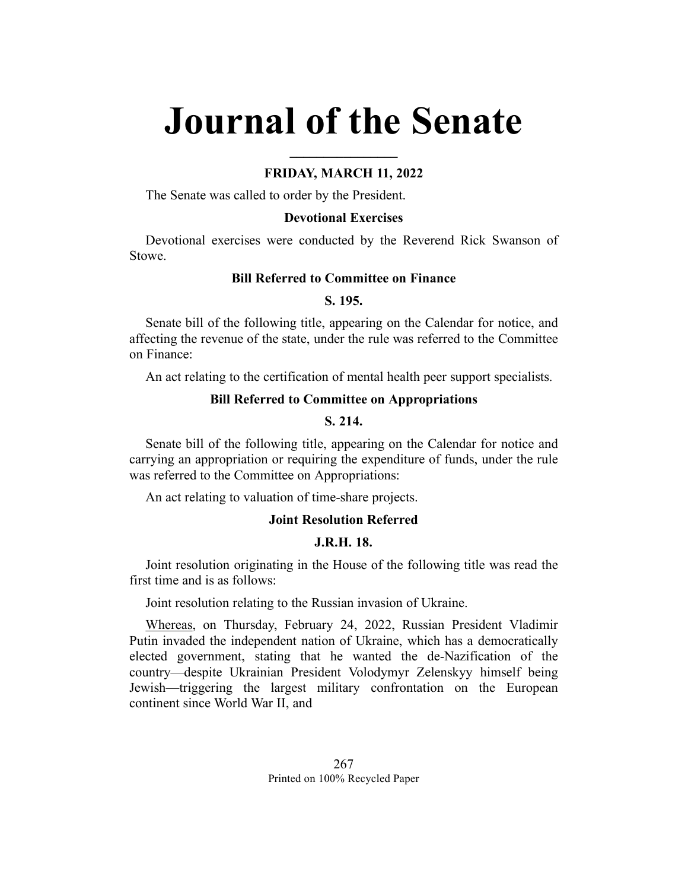# **Journal of the Senate**

# **FRIDAY, MARCH 11, 2022**

**\_\_\_\_\_\_\_\_\_\_\_\_\_\_\_\_**

The Senate was called to order by the President.

## **Devotional Exercises**

Devotional exercises were conducted by the Reverend Rick Swanson of Stowe.

## **Bill Referred to Committee on Finance**

## **S. 195.**

Senate bill of the following title, appearing on the Calendar for notice, and affecting the revenue of the state, under the rule was referred to the Committee on Finance:

An act relating to the certification of mental health peer support specialists.

# **Bill Referred to Committee on Appropriations**

# **S. 214.**

Senate bill of the following title, appearing on the Calendar for notice and carrying an appropriation or requiring the expenditure of funds, under the rule was referred to the Committee on Appropriations:

An act relating to valuation of time-share projects.

# **Joint Resolution Referred**

# **J.R.H. 18.**

Joint resolution originating in the House of the following title was read the first time and is as follows:

Joint resolution relating to the Russian invasion of Ukraine.

Whereas, on Thursday, February 24, 2022, Russian President Vladimir Putin invaded the independent nation of Ukraine, which has a democratically elected government, stating that he wanted the de-Nazification of the country—despite Ukrainian President Volodymyr Zelenskyy himself being Jewish—triggering the largest military confrontation on the European continent since World War II, and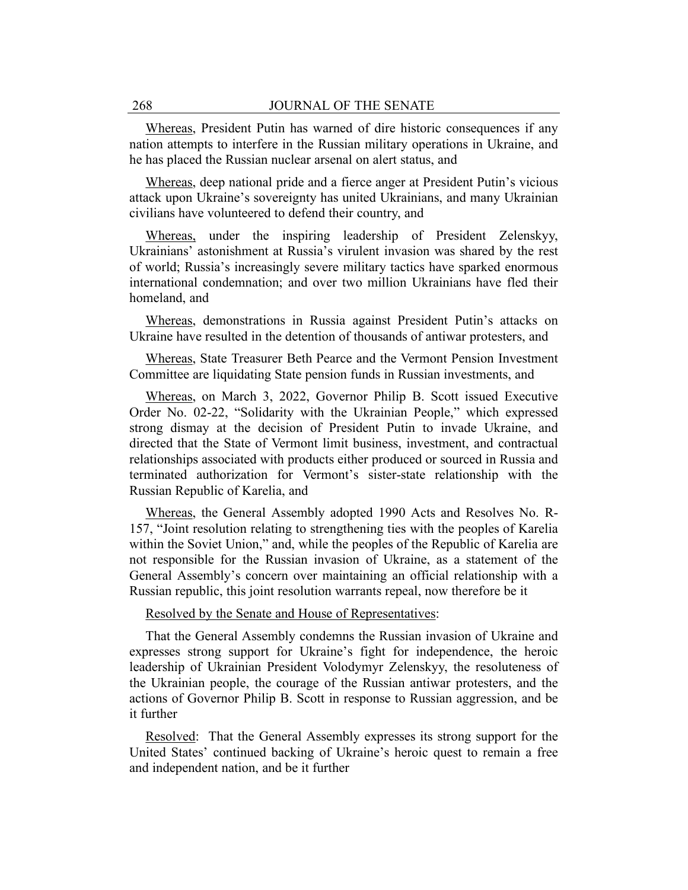Whereas, President Putin has warned of dire historic consequences if any nation attempts to interfere in the Russian military operations in Ukraine, and he has placed the Russian nuclear arsenal on alert status, and

Whereas, deep national pride and a fierce anger at President Putin's vicious attack upon Ukraine's sovereignty has united Ukrainians, and many Ukrainian civilians have volunteered to defend their country, and

Whereas, under the inspiring leadership of President Zelenskyy, Ukrainians' astonishment at Russia's virulent invasion was shared by the rest of world; Russia's increasingly severe military tactics have sparked enormous international condemnation; and over two million Ukrainians have fled their homeland, and

Whereas, demonstrations in Russia against President Putin's attacks on Ukraine have resulted in the detention of thousands of antiwar protesters, and

Whereas, State Treasurer Beth Pearce and the Vermont Pension Investment Committee are liquidating State pension funds in Russian investments, and

Whereas, on March 3, 2022, Governor Philip B. Scott issued Executive Order No. 02-22, "Solidarity with the Ukrainian People," which expressed strong dismay at the decision of President Putin to invade Ukraine, and directed that the State of Vermont limit business, investment, and contractual relationships associated with products either produced or sourced in Russia and terminated authorization for Vermont's sister-state relationship with the Russian Republic of Karelia, and

Whereas, the General Assembly adopted 1990 Acts and Resolves No. R-157, "Joint resolution relating to strengthening ties with the peoples of Karelia within the Soviet Union," and, while the peoples of the Republic of Karelia are not responsible for the Russian invasion of Ukraine, as a statement of the General Assembly's concern over maintaining an official relationship with a Russian republic, this joint resolution warrants repeal, now therefore be it

Resolved by the Senate and House of Representatives:

That the General Assembly condemns the Russian invasion of Ukraine and expresses strong support for Ukraine's fight for independence, the heroic leadership of Ukrainian President Volodymyr Zelenskyy, the resoluteness of the Ukrainian people, the courage of the Russian antiwar protesters, and the actions of Governor Philip B. Scott in response to Russian aggression, and be it further

Resolved: That the General Assembly expresses its strong support for the United States' continued backing of Ukraine's heroic quest to remain a free and independent nation, and be it further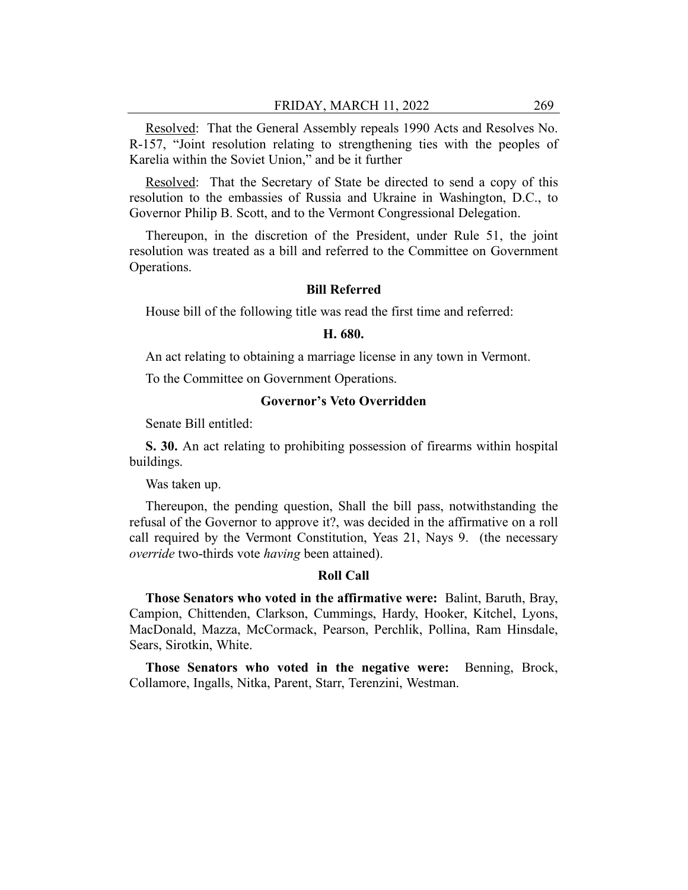Resolved: That the General Assembly repeals 1990 Acts and Resolves No. R-157, "Joint resolution relating to strengthening ties with the peoples of Karelia within the Soviet Union," and be it further

Resolved: That the Secretary of State be directed to send a copy of this resolution to the embassies of Russia and Ukraine in Washington, D.C., to Governor Philip B. Scott, and to the Vermont Congressional Delegation.

Thereupon, in the discretion of the President, under Rule 51, the joint resolution was treated as a bill and referred to the Committee on Government Operations.

#### **Bill Referred**

House bill of the following title was read the first time and referred:

#### **H. 680.**

An act relating to obtaining a marriage license in any town in Vermont.

To the Committee on Government Operations.

## **Governor's Veto Overridden**

Senate Bill entitled:

**S. 30.** An act relating to prohibiting possession of firearms within hospital buildings.

Was taken up.

Thereupon, the pending question, Shall the bill pass, notwithstanding the refusal of the Governor to approve it?, was decided in the affirmative on a roll call required by the Vermont Constitution, Yeas 21, Nays 9. (the necessary *override* two-thirds vote *having* been attained).

## **Roll Call**

**Those Senators who voted in the affirmative were:** Balint, Baruth, Bray, Campion, Chittenden, Clarkson, Cummings, Hardy, Hooker, Kitchel, Lyons, MacDonald, Mazza, McCormack, Pearson, Perchlik, Pollina, Ram Hinsdale, Sears, Sirotkin, White.

**Those Senators who voted in the negative were:** Benning, Brock, Collamore, Ingalls, Nitka, Parent, Starr, Terenzini, Westman.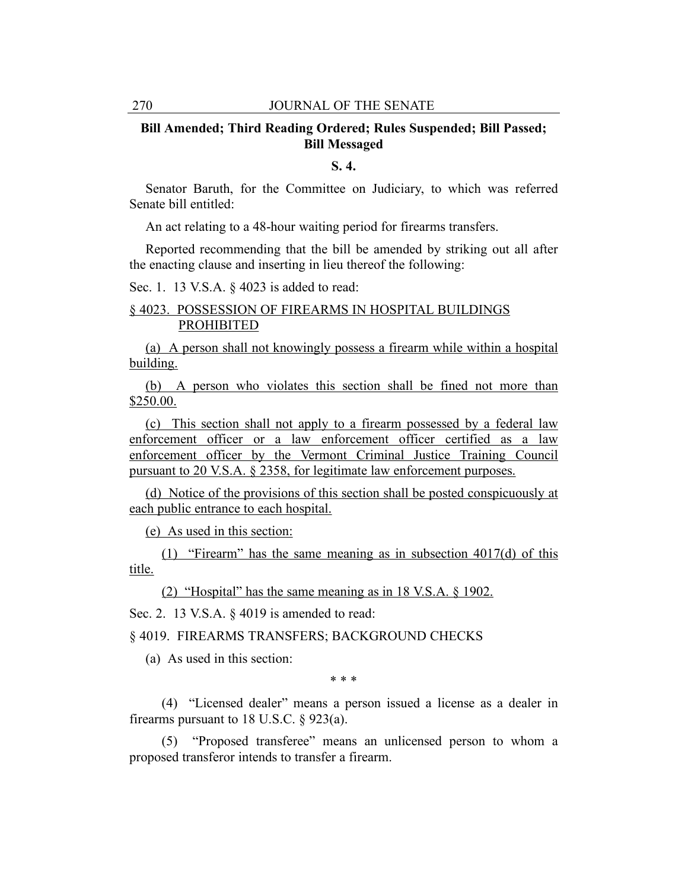# **Bill Amended; Third Reading Ordered; Rules Suspended; Bill Passed; Bill Messaged**

#### **S. 4.**

Senator Baruth, for the Committee on Judiciary, to which was referred Senate bill entitled:

An act relating to a 48-hour waiting period for firearms transfers.

Reported recommending that the bill be amended by striking out all after the enacting clause and inserting in lieu thereof the following:

Sec. 1. 13 V.S.A. § 4023 is added to read:

# § 4023. POSSESSION OF FIREARMS IN HOSPITAL BUILDINGS PROHIBITED

(a) A person shall not knowingly possess a firearm while within a hospital building.

(b) A person who violates this section shall be fined not more than \$250.00.

(c) This section shall not apply to a firearm possessed by a federal law enforcement officer or a law enforcement officer certified as a law enforcement officer by the Vermont Criminal Justice Training Council pursuant to 20 V.S.A. § 2358, for legitimate law enforcement purposes.

(d) Notice of the provisions of this section shall be posted conspicuously at each public entrance to each hospital.

(e) As used in this section:

(1) "Firearm" has the same meaning as in subsection 4017(d) of this title.

(2) "Hospital" has the same meaning as in 18 V.S.A. § 1902.

Sec. 2. 13 V.S.A. § 4019 is amended to read:

§ 4019. FIREARMS TRANSFERS; BACKGROUND CHECKS

(a) As used in this section:

\* \* \*

(4) "Licensed dealer" means a person issued a license as a dealer in firearms pursuant to 18 U.S.C.  $\S$  923(a).

(5) "Proposed transferee" means an unlicensed person to whom a proposed transferor intends to transfer a firearm.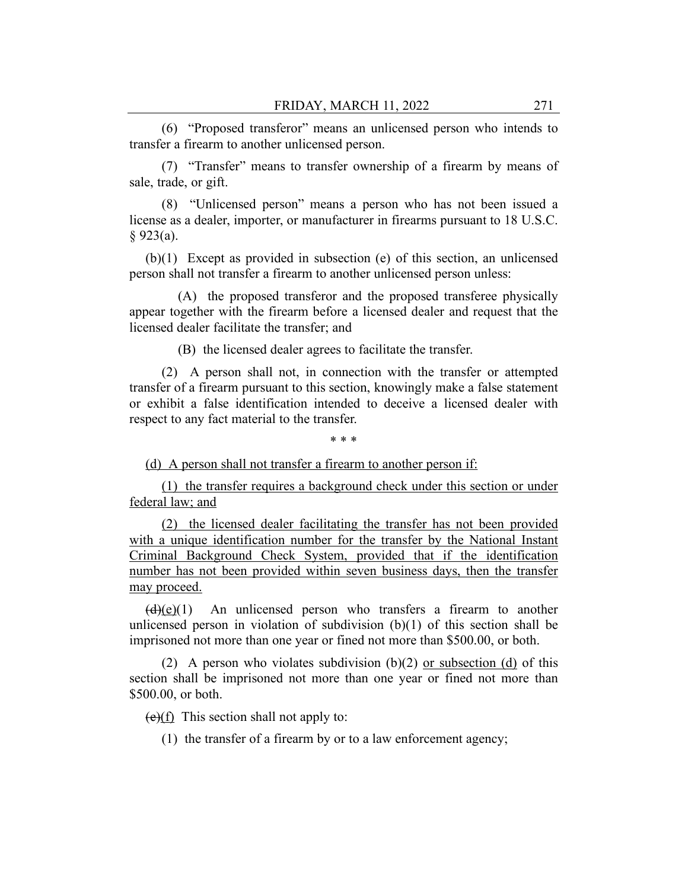(6) "Proposed transferor" means an unlicensed person who intends to transfer a firearm to another unlicensed person.

(7) "Transfer" means to transfer ownership of a firearm by means of sale, trade, or gift.

(8) "Unlicensed person" means a person who has not been issued a license as a dealer, importer, or manufacturer in firearms pursuant to 18 U.S.C.  $§$  923(a).

(b)(1) Except as provided in subsection (e) of this section, an unlicensed person shall not transfer a firearm to another unlicensed person unless:

(A) the proposed transferor and the proposed transferee physically appear together with the firearm before a licensed dealer and request that the licensed dealer facilitate the transfer; and

(B) the licensed dealer agrees to facilitate the transfer.

(2) A person shall not, in connection with the transfer or attempted transfer of a firearm pursuant to this section, knowingly make a false statement or exhibit a false identification intended to deceive a licensed dealer with respect to any fact material to the transfer.

\* \* \*

(d) A person shall not transfer a firearm to another person if:

(1) the transfer requires a background check under this section or under federal law; and

(2) the licensed dealer facilitating the transfer has not been provided with a unique identification number for the transfer by the National Instant Criminal Background Check System, provided that if the identification number has not been provided within seven business days, then the transfer may proceed.

 $(d)(e)(1)$  An unlicensed person who transfers a firearm to another unlicensed person in violation of subdivision  $(b)(1)$  of this section shall be imprisoned not more than one year or fined not more than \$500.00, or both.

(2) A person who violates subdivision  $(b)(2)$  or subsection (d) of this section shall be imprisoned not more than one year or fined not more than \$500.00, or both.

 $(e)(f)$  This section shall not apply to:

(1) the transfer of a firearm by or to a law enforcement agency;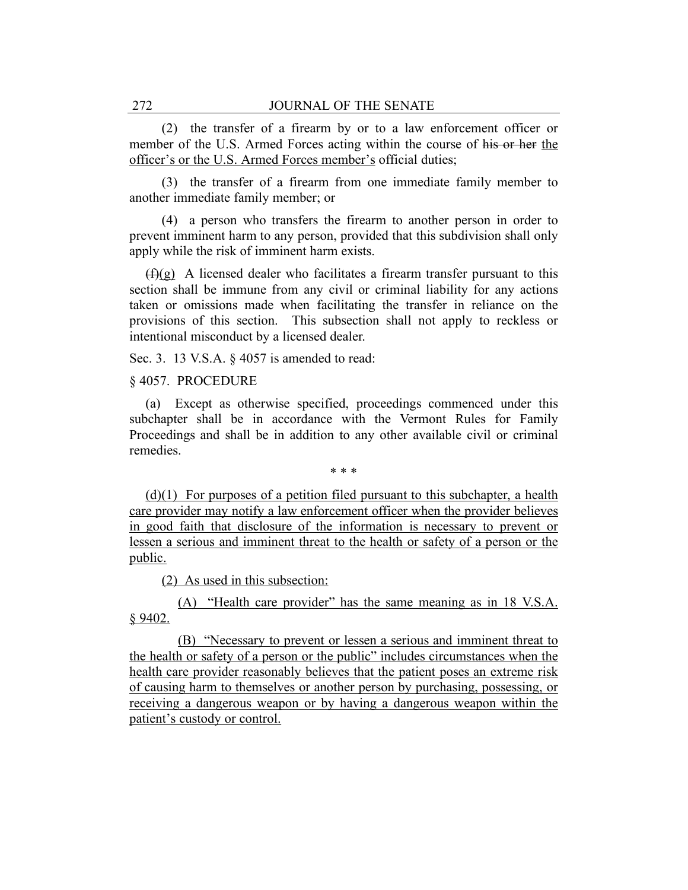(2) the transfer of a firearm by or to a law enforcement officer or member of the U.S. Armed Forces acting within the course of his or her the officer's or the U.S. Armed Forces member's official duties;

(3) the transfer of a firearm from one immediate family member to another immediate family member; or

(4) a person who transfers the firearm to another person in order to prevent imminent harm to any person, provided that this subdivision shall only apply while the risk of imminent harm exists.

 $(f)(g)$  A licensed dealer who facilitates a firearm transfer pursuant to this section shall be immune from any civil or criminal liability for any actions taken or omissions made when facilitating the transfer in reliance on the provisions of this section. This subsection shall not apply to reckless or intentional misconduct by a licensed dealer.

Sec. 3. 13 V.S.A. § 4057 is amended to read:

§ 4057. PROCEDURE

(a) Except as otherwise specified, proceedings commenced under this subchapter shall be in accordance with the Vermont Rules for Family Proceedings and shall be in addition to any other available civil or criminal remedies.

\* \* \*

 $(d)(1)$  For purposes of a petition filed pursuant to this subchapter, a health care provider may notify a law enforcement officer when the provider believes in good faith that disclosure of the information is necessary to prevent or lessen a serious and imminent threat to the health or safety of a person or the public.

(2) As used in this subsection:

(A) "Health care provider" has the same meaning as in 18 V.S.A. § 9402.

(B) "Necessary to prevent or lessen a serious and imminent threat to the health or safety of a person or the public" includes circumstances when the health care provider reasonably believes that the patient poses an extreme risk of causing harm to themselves or another person by purchasing, possessing, or receiving a dangerous weapon or by having a dangerous weapon within the patient's custody or control.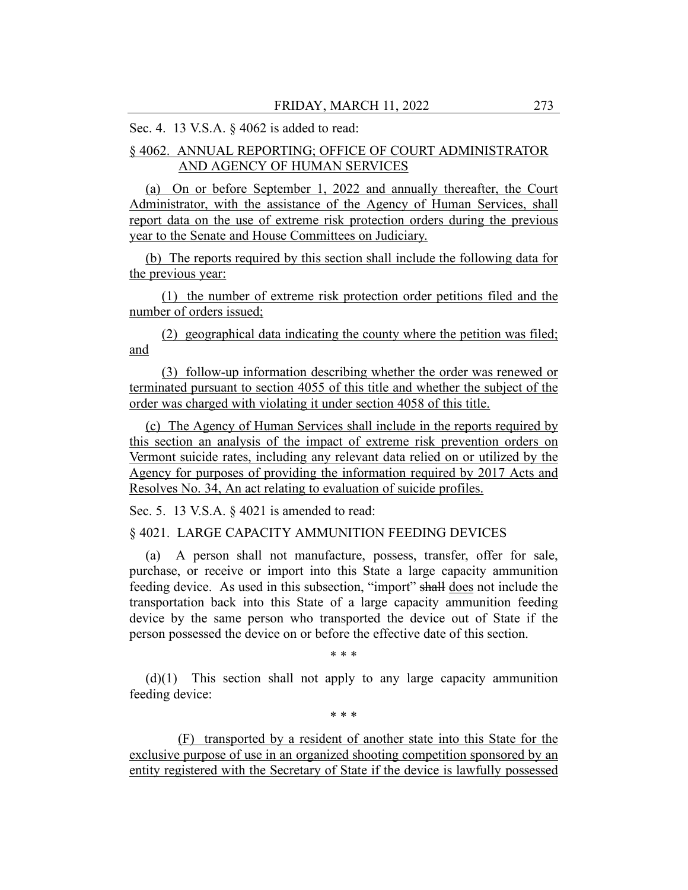# Sec. 4. 13 V.S.A. § 4062 is added to read:

# § 4062. ANNUAL REPORTING; OFFICE OF COURT ADMINISTRATOR AND AGENCY OF HUMAN SERVICES

(a) On or before September 1, 2022 and annually thereafter, the Court Administrator, with the assistance of the Agency of Human Services, shall report data on the use of extreme risk protection orders during the previous year to the Senate and House Committees on Judiciary.

(b) The reports required by this section shall include the following data for the previous year:

(1) the number of extreme risk protection order petitions filed and the number of orders issued;

(2) geographical data indicating the county where the petition was filed; and

(3) follow-up information describing whether the order was renewed or terminated pursuant to section 4055 of this title and whether the subject of the order was charged with violating it under section 4058 of this title.

(c) The Agency of Human Services shall include in the reports required by this section an analysis of the impact of extreme risk prevention orders on Vermont suicide rates, including any relevant data relied on or utilized by the Agency for purposes of providing the information required by 2017 Acts and Resolves No. 34, An act relating to evaluation of suicide profiles.

Sec. 5. 13 V.S.A. § 4021 is amended to read:

## § 4021. LARGE CAPACITY AMMUNITION FEEDING DEVICES

(a) A person shall not manufacture, possess, transfer, offer for sale, purchase, or receive or import into this State a large capacity ammunition feeding device. As used in this subsection, "import" shall does not include the transportation back into this State of a large capacity ammunition feeding device by the same person who transported the device out of State if the person possessed the device on or before the effective date of this section.

\* \* \*

(d)(1) This section shall not apply to any large capacity ammunition feeding device:

\* \* \*

(F) transported by a resident of another state into this State for the exclusive purpose of use in an organized shooting competition sponsored by an entity registered with the Secretary of State if the device is lawfully possessed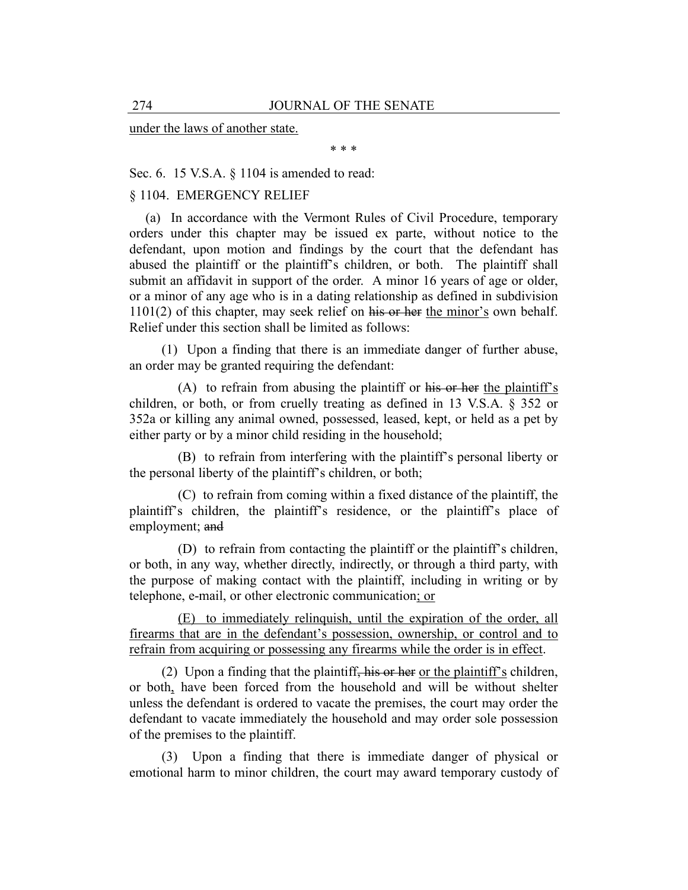under the laws of another state.

\* \* \*

Sec. 6. 15 V.S.A. § 1104 is amended to read:

## § 1104. EMERGENCY RELIEF

(a) In accordance with the Vermont Rules of Civil Procedure, temporary orders under this chapter may be issued ex parte, without notice to the defendant, upon motion and findings by the court that the defendant has abused the plaintiff or the plaintiff's children, or both. The plaintiff shall submit an affidavit in support of the order. A minor 16 years of age or older, or a minor of any age who is in a dating relationship as defined in subdivision 1101(2) of this chapter, may seek relief on his or her the minor's own behalf. Relief under this section shall be limited as follows:

(1) Upon a finding that there is an immediate danger of further abuse, an order may be granted requiring the defendant:

(A) to refrain from abusing the plaintiff or his or her the plaintiff's children, or both, or from cruelly treating as defined in 13 V.S.A. § 352 or 352a or killing any animal owned, possessed, leased, kept, or held as a pet by either party or by a minor child residing in the household;

(B) to refrain from interfering with the plaintiff's personal liberty or the personal liberty of the plaintiff's children, or both;

(C) to refrain from coming within a fixed distance of the plaintiff, the plaintiff's children, the plaintiff's residence, or the plaintiff's place of employment; and

(D) to refrain from contacting the plaintiff or the plaintiff's children, or both, in any way, whether directly, indirectly, or through a third party, with the purpose of making contact with the plaintiff, including in writing or by telephone, e-mail, or other electronic communication; or

(E) to immediately relinquish, until the expiration of the order, all firearms that are in the defendant's possession, ownership, or control and to refrain from acquiring or possessing any firearms while the order is in effect.

(2) Upon a finding that the plaintiff, his or her or the plaintiff's children, or both, have been forced from the household and will be without shelter unless the defendant is ordered to vacate the premises, the court may order the defendant to vacate immediately the household and may order sole possession of the premises to the plaintiff.

(3) Upon a finding that there is immediate danger of physical or emotional harm to minor children, the court may award temporary custody of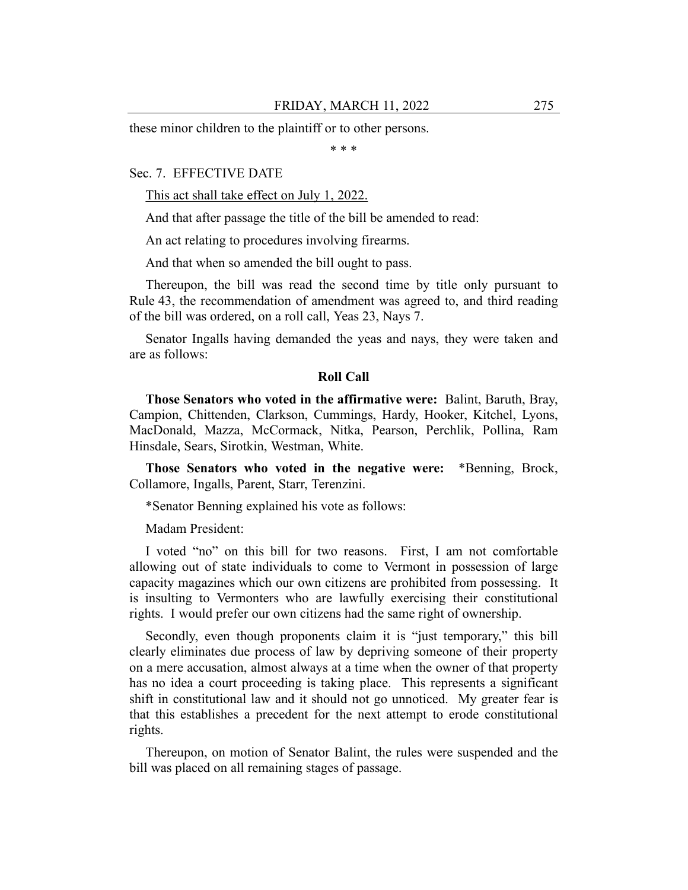these minor children to the plaintiff or to other persons.

\* \* \*

#### Sec. 7. EFFECTIVE DATE

This act shall take effect on July 1, 2022.

And that after passage the title of the bill be amended to read:

An act relating to procedures involving firearms.

And that when so amended the bill ought to pass.

Thereupon, the bill was read the second time by title only pursuant to Rule 43, the recommendation of amendment was agreed to, and third reading of the bill was ordered, on a roll call, Yeas 23, Nays 7.

Senator Ingalls having demanded the yeas and nays, they were taken and are as follows:

#### **Roll Call**

**Those Senators who voted in the affirmative were:** Balint, Baruth, Bray, Campion, Chittenden, Clarkson, Cummings, Hardy, Hooker, Kitchel, Lyons, MacDonald, Mazza, McCormack, Nitka, Pearson, Perchlik, Pollina, Ram Hinsdale, Sears, Sirotkin, Westman, White.

**Those Senators who voted in the negative were:** \*Benning, Brock, Collamore, Ingalls, Parent, Starr, Terenzini.

\*Senator Benning explained his vote as follows:

Madam President:

I voted "no" on this bill for two reasons. First, I am not comfortable allowing out of state individuals to come to Vermont in possession of large capacity magazines which our own citizens are prohibited from possessing. It is insulting to Vermonters who are lawfully exercising their constitutional rights. I would prefer our own citizens had the same right of ownership.

Secondly, even though proponents claim it is "just temporary," this bill clearly eliminates due process of law by depriving someone of their property on a mere accusation, almost always at a time when the owner of that property has no idea a court proceeding is taking place. This represents a significant shift in constitutional law and it should not go unnoticed. My greater fear is that this establishes a precedent for the next attempt to erode constitutional rights.

Thereupon, on motion of Senator Balint, the rules were suspended and the bill was placed on all remaining stages of passage.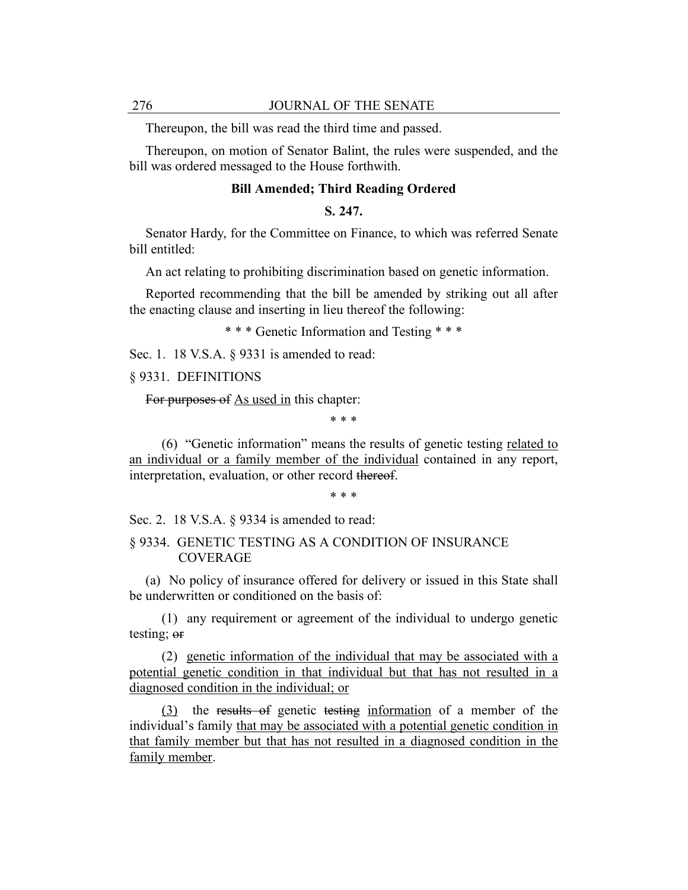Thereupon, the bill was read the third time and passed.

Thereupon, on motion of Senator Balint, the rules were suspended, and the bill was ordered messaged to the House forthwith.

## **Bill Amended; Third Reading Ordered**

## **S. 247.**

Senator Hardy, for the Committee on Finance, to which was referred Senate bill entitled:

An act relating to prohibiting discrimination based on genetic information.

Reported recommending that the bill be amended by striking out all after the enacting clause and inserting in lieu thereof the following:

\* \* \* Genetic Information and Testing \* \* \*

Sec. 1. 18 V.S.A. § 9331 is amended to read:

§ 9331. DEFINITIONS

For purposes of  $\Delta s$  used in this chapter:

\* \* \*

(6) "Genetic information" means the results of genetic testing related to an individual or a family member of the individual contained in any report, interpretation, evaluation, or other record thereof.

\* \* \*

Sec. 2. 18 V.S.A. § 9334 is amended to read:

#### § 9334. GENETIC TESTING AS A CONDITION OF INSURANCE **COVERAGE**

(a) No policy of insurance offered for delivery or issued in this State shall be underwritten or conditioned on the basis of:

(1) any requirement or agreement of the individual to undergo genetic testing; or

(2) genetic information of the individual that may be associated with a potential genetic condition in that individual but that has not resulted in a diagnosed condition in the individual; or

(3) the results of genetic testing information of a member of the individual's family that may be associated with a potential genetic condition in that family member but that has not resulted in a diagnosed condition in the family member.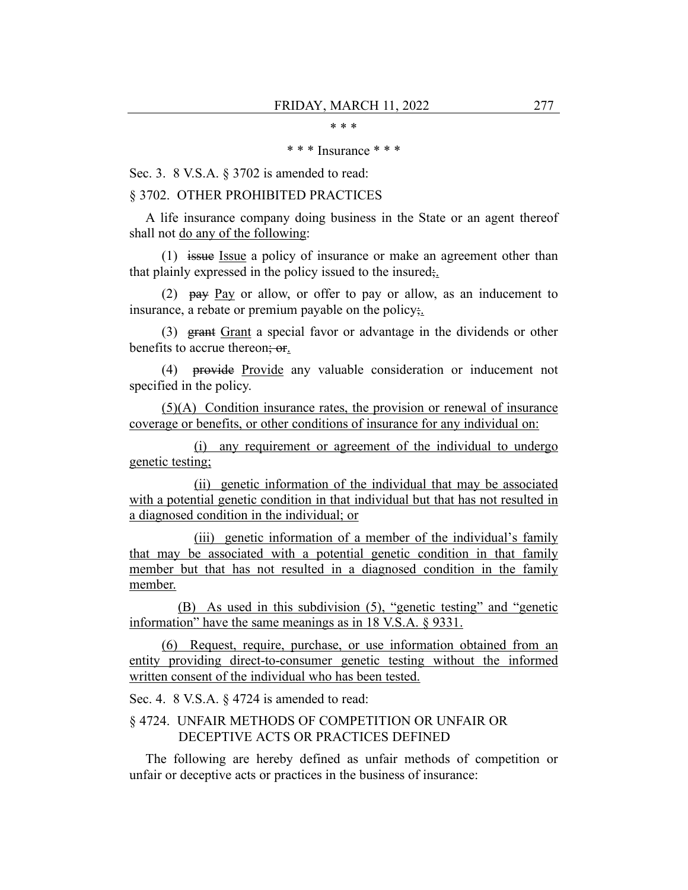\* \* \*

#### \* \* \* Insurance \* \* \*

Sec. 3. 8 V.S.A. § 3702 is amended to read:

#### § 3702. OTHER PROHIBITED PRACTICES

A life insurance company doing business in the State or an agent thereof shall not do any of the following:

(1) issue Issue a policy of insurance or make an agreement other than that plainly expressed in the policy issued to the insured;.

(2)  $\mu$ ay Pay or allow, or offer to pay or allow, as an inducement to insurance, a rebate or premium payable on the policy;.

(3) grant Grant a special favor or advantage in the dividends or other benefits to accrue thereon; or.

(4) provide Provide any valuable consideration or inducement not specified in the policy.

(5)(A) Condition insurance rates, the provision or renewal of insurance coverage or benefits, or other conditions of insurance for any individual on:

(i) any requirement or agreement of the individual to undergo genetic testing;

(ii) genetic information of the individual that may be associated with a potential genetic condition in that individual but that has not resulted in a diagnosed condition in the individual; or

(iii) genetic information of a member of the individual's family that may be associated with a potential genetic condition in that family member but that has not resulted in a diagnosed condition in the family member.

(B) As used in this subdivision (5), "genetic testing" and "genetic information" have the same meanings as in 18 V.S.A. § 9331.

(6) Request, require, purchase, or use information obtained from an entity providing direct-to-consumer genetic testing without the informed written consent of the individual who has been tested.

Sec. 4. 8 V.S.A. § 4724 is amended to read:

## § 4724. UNFAIR METHODS OF COMPETITION OR UNFAIR OR DECEPTIVE ACTS OR PRACTICES DEFINED

The following are hereby defined as unfair methods of competition or unfair or deceptive acts or practices in the business of insurance: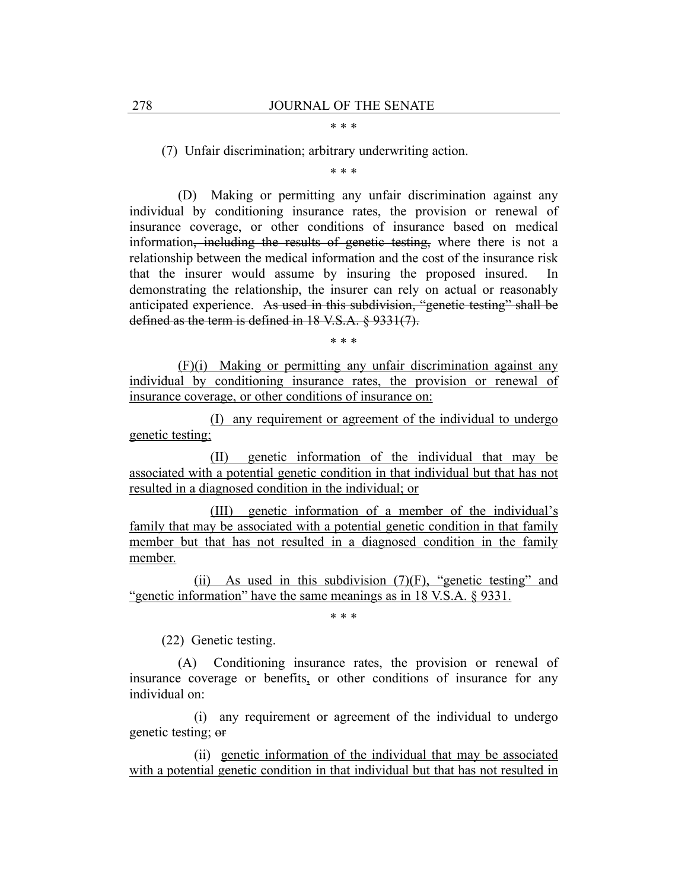#### \* \* \*

(7) Unfair discrimination; arbitrary underwriting action.

\* \* \*

(D) Making or permitting any unfair discrimination against any individual by conditioning insurance rates, the provision or renewal of insurance coverage, or other conditions of insurance based on medical information, including the results of genetic testing, where there is not a relationship between the medical information and the cost of the insurance risk that the insurer would assume by insuring the proposed insured. In demonstrating the relationship, the insurer can rely on actual or reasonably anticipated experience. As used in this subdivision, "genetic testing" shall be defined as the term is defined in 18 V.S.A. § 9331(7).

\* \* \*

(F)(i) Making or permitting any unfair discrimination against any individual by conditioning insurance rates, the provision or renewal of insurance coverage, or other conditions of insurance on:

(I) any requirement or agreement of the individual to undergo genetic testing;

(II) genetic information of the individual that may be associated with a potential genetic condition in that individual but that has not resulted in a diagnosed condition in the individual; or

(III) genetic information of a member of the individual's family that may be associated with a potential genetic condition in that family member but that has not resulted in a diagnosed condition in the family member.

(ii) As used in this subdivision  $(7)(F)$ , "genetic testing" and "genetic information" have the same meanings as in 18 V.S.A. § 9331.

\* \* \*

(22) Genetic testing.

(A) Conditioning insurance rates, the provision or renewal of insurance coverage or benefits, or other conditions of insurance for any individual on:

(i) any requirement or agreement of the individual to undergo genetic testing; or

(ii) genetic information of the individual that may be associated with a potential genetic condition in that individual but that has not resulted in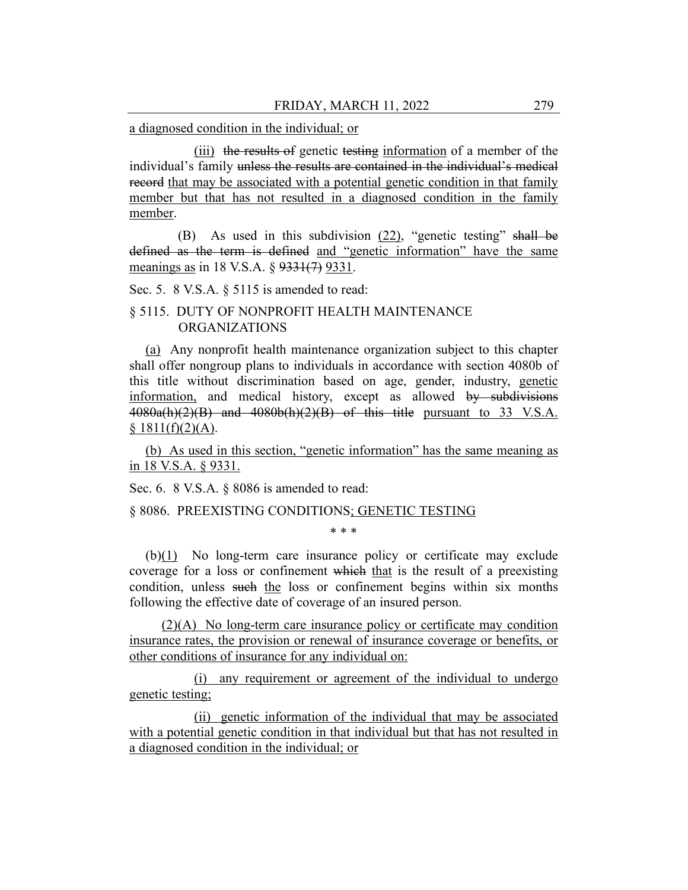a diagnosed condition in the individual; or

(iii) the results of genetic testing information of a member of the individual's family unless the results are contained in the individual's medical record that may be associated with a potential genetic condition in that family member but that has not resulted in a diagnosed condition in the family member.

(B) As used in this subdivision (22), "genetic testing" shall be defined as the term is defined and "genetic information" have the same meanings as in 18 V.S.A. § 9331(7) 9331.

Sec. 5. 8 V.S.A. § 5115 is amended to read:

# § 5115. DUTY OF NONPROFIT HEALTH MAINTENANCE ORGANIZATIONS

(a) Any nonprofit health maintenance organization subject to this chapter shall offer nongroup plans to individuals in accordance with section 4080b of this title without discrimination based on age, gender, industry, genetic information, and medical history, except as allowed by subdivisions  $4080a(h)(2)(B)$  and  $4080b(h)(2)(B)$  of this title pursuant to 33 V.S.A.  $$1811(f)(2)(A).$ 

(b) As used in this section, "genetic information" has the same meaning as in 18 V.S.A. § 9331.

Sec. 6. 8 V.S.A. § 8086 is amended to read:

#### § 8086. PREEXISTING CONDITIONS; GENETIC TESTING

\* \* \*

(b)(1) No long-term care insurance policy or certificate may exclude coverage for a loss or confinement which that is the result of a preexisting condition, unless such the loss or confinement begins within six months following the effective date of coverage of an insured person.

(2)(A) No long-term care insurance policy or certificate may condition insurance rates, the provision or renewal of insurance coverage or benefits, or other conditions of insurance for any individual on:

(i) any requirement or agreement of the individual to undergo genetic testing;

(ii) genetic information of the individual that may be associated with a potential genetic condition in that individual but that has not resulted in a diagnosed condition in the individual; or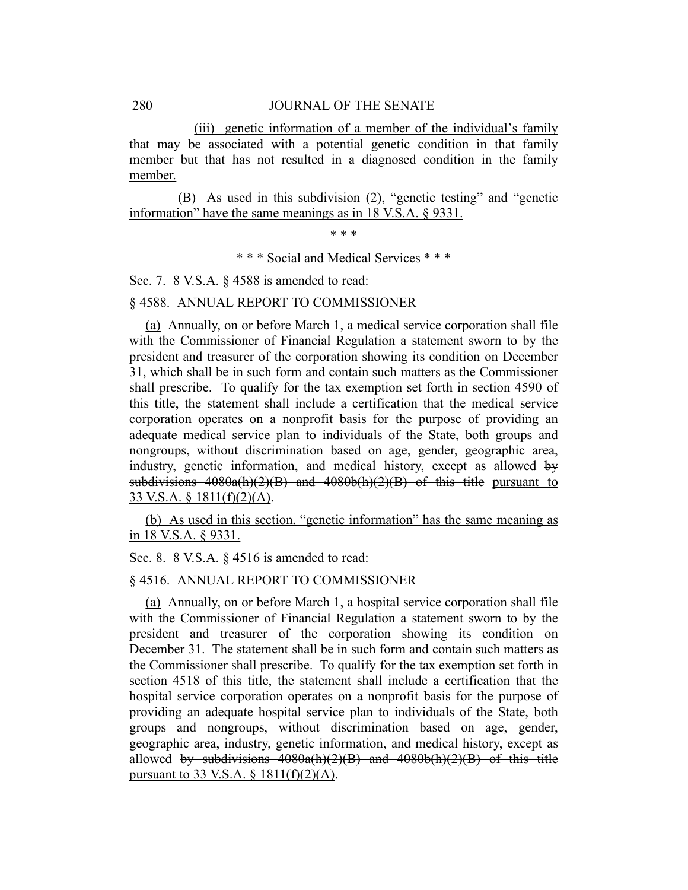(iii) genetic information of a member of the individual's family that may be associated with a potential genetic condition in that family member but that has not resulted in a diagnosed condition in the family member.

(B) As used in this subdivision (2), "genetic testing" and "genetic information" have the same meanings as in 18 V.S.A. § 9331.

\* \* \*

\* \* \* Social and Medical Services \* \* \*

Sec. 7. 8 V.S.A. § 4588 is amended to read:

§ 4588. ANNUAL REPORT TO COMMISSIONER

(a) Annually, on or before March 1, a medical service corporation shall file with the Commissioner of Financial Regulation a statement sworn to by the president and treasurer of the corporation showing its condition on December 31, which shall be in such form and contain such matters as the Commissioner shall prescribe. To qualify for the tax exemption set forth in section 4590 of this title, the statement shall include a certification that the medical service corporation operates on a nonprofit basis for the purpose of providing an adequate medical service plan to individuals of the State, both groups and nongroups, without discrimination based on age, gender, geographic area, industry, genetic information, and medical history, except as allowed by subdivisions  $4080a(h)(2)(B)$  and  $4080b(h)(2)(B)$  of this title pursuant to 33 V.S.A. § 1811(f)(2)(A).

(b) As used in this section, "genetic information" has the same meaning as in 18 V.S.A. § 9331.

Sec. 8. 8 V.S.A. § 4516 is amended to read:

## § 4516. ANNUAL REPORT TO COMMISSIONER

(a) Annually, on or before March 1, a hospital service corporation shall file with the Commissioner of Financial Regulation a statement sworn to by the president and treasurer of the corporation showing its condition on December 31. The statement shall be in such form and contain such matters as the Commissioner shall prescribe. To qualify for the tax exemption set forth in section 4518 of this title, the statement shall include a certification that the hospital service corporation operates on a nonprofit basis for the purpose of providing an adequate hospital service plan to individuals of the State, both groups and nongroups, without discrimination based on age, gender, geographic area, industry, genetic information, and medical history, except as allowed by subdivisions  $4080a(h)(2)(B)$  and  $4080b(h)(2)(B)$  of this title pursuant to 33 V.S.A.  $\S$  1811(f)(2)(A).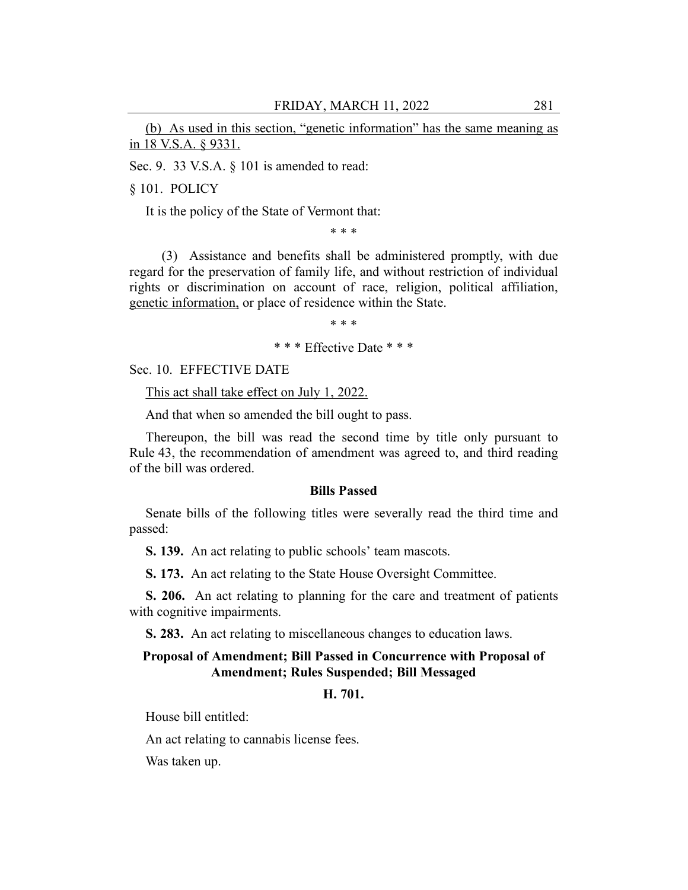(b) As used in this section, "genetic information" has the same meaning as in 18 V.S.A. § 9331.

Sec. 9. 33 V.S.A. § 101 is amended to read:

§ 101. POLICY

It is the policy of the State of Vermont that:

\* \* \*

(3) Assistance and benefits shall be administered promptly, with due regard for the preservation of family life, and without restriction of individual rights or discrimination on account of race, religion, political affiliation, genetic information, or place of residence within the State.

\* \* \*

\* \* \* Effective Date \* \* \*

Sec. 10. EFFECTIVE DATE

This act shall take effect on July 1, 2022.

And that when so amended the bill ought to pass.

Thereupon, the bill was read the second time by title only pursuant to Rule 43, the recommendation of amendment was agreed to, and third reading of the bill was ordered.

#### **Bills Passed**

Senate bills of the following titles were severally read the third time and passed:

**S. 139.** An act relating to public schools' team mascots.

**S. 173.** An act relating to the State House Oversight Committee.

**S. 206.** An act relating to planning for the care and treatment of patients with cognitive impairments.

**S. 283.** An act relating to miscellaneous changes to education laws.

## **Proposal of Amendment; Bill Passed in Concurrence with Proposal of Amendment; Rules Suspended; Bill Messaged**

## **H. 701.**

House bill entitled:

An act relating to cannabis license fees.

Was taken up.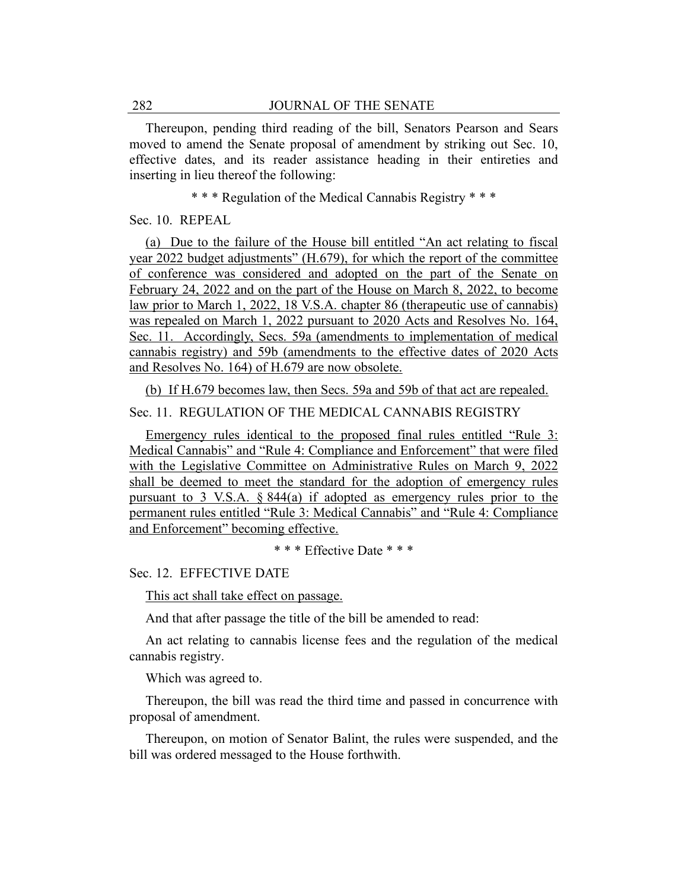Thereupon, pending third reading of the bill, Senators Pearson and Sears moved to amend the Senate proposal of amendment by striking out Sec. 10, effective dates, and its reader assistance heading in their entireties and inserting in lieu thereof the following:

\* \* \* Regulation of the Medical Cannabis Registry \* \* \*

Sec. 10. REPEAL

(a) Due to the failure of the House bill entitled "An act relating to fiscal year 2022 budget adjustments" (H.679), for which the report of the committee of conference was considered and adopted on the part of the Senate on February 24, 2022 and on the part of the House on March 8, 2022, to become law prior to March 1, 2022, 18 V.S.A. chapter 86 (therapeutic use of cannabis) was repealed on March 1, 2022 pursuant to 2020 Acts and Resolves No. 164, Sec. 11. Accordingly, Secs. 59a (amendments to implementation of medical cannabis registry) and 59b (amendments to the effective dates of 2020 Acts and Resolves No. 164) of H.679 are now obsolete.

(b) If H.679 becomes law, then Secs. 59a and 59b of that act are repealed.

### Sec. 11. REGULATION OF THE MEDICAL CANNABIS REGISTRY

Emergency rules identical to the proposed final rules entitled "Rule 3: Medical Cannabis" and "Rule 4: Compliance and Enforcement" that were filed with the Legislative Committee on Administrative Rules on March 9, 2022 shall be deemed to meet the standard for the adoption of emergency rules pursuant to 3 V.S.A. § 844(a) if adopted as emergency rules prior to the permanent rules entitled "Rule 3: Medical Cannabis" and "Rule 4: Compliance and Enforcement" becoming effective.

\* \* \* Effective Date \* \* \*

Sec. 12. EFFECTIVE DATE

This act shall take effect on passage.

And that after passage the title of the bill be amended to read:

An act relating to cannabis license fees and the regulation of the medical cannabis registry.

Which was agreed to.

Thereupon, the bill was read the third time and passed in concurrence with proposal of amendment.

Thereupon, on motion of Senator Balint, the rules were suspended, and the bill was ordered messaged to the House forthwith.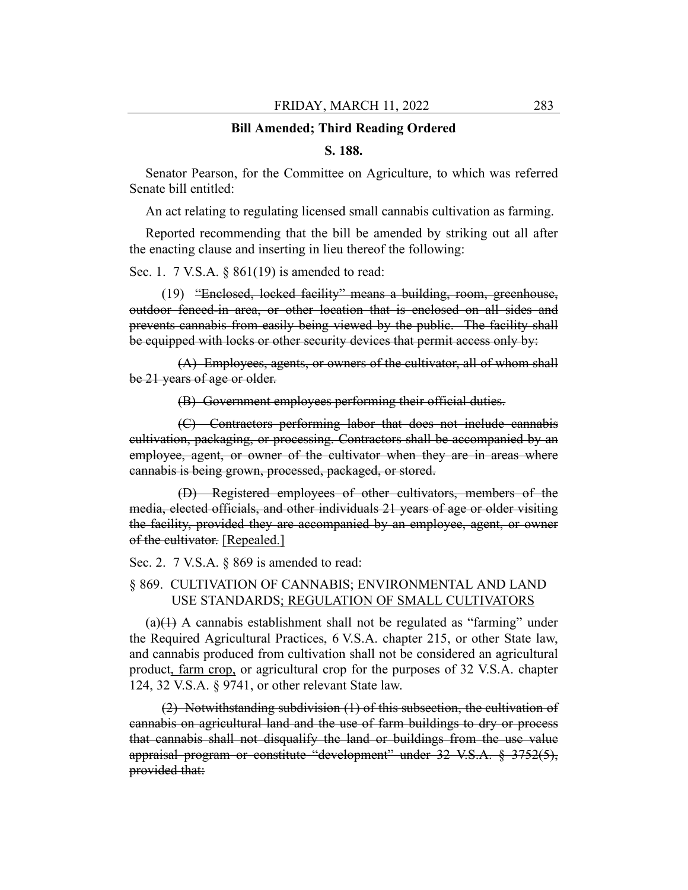#### **Bill Amended; Third Reading Ordered**

#### **S. 188.**

Senator Pearson, for the Committee on Agriculture, to which was referred Senate bill entitled:

An act relating to regulating licensed small cannabis cultivation as farming.

Reported recommending that the bill be amended by striking out all after the enacting clause and inserting in lieu thereof the following:

Sec. 1. 7 V.S.A. § 861(19) is amended to read:

(19) "Enclosed, locked facility" means a building, room, greenhouse, outdoor fenced-in area, or other location that is enclosed on all sides and prevents cannabis from easily being viewed by the public. The facility shall be equipped with locks or other security devices that permit access only by:

(A) Employees, agents, or owners of the cultivator, all of whom shall be 21 years of age or older.

(B) Government employees performing their official duties.

(C) Contractors performing labor that does not include cannabis cultivation, packaging, or processing. Contractors shall be accompanied by an employee, agent, or owner of the cultivator when they are in areas where cannabis is being grown, processed, packaged, or stored.

(D) Registered employees of other cultivators, members of the media, elected officials, and other individuals 21 years of age or older visiting the facility, provided they are accompanied by an employee, agent, or owner of the cultivator. [Repealed.]

Sec. 2. 7 V.S.A. § 869 is amended to read:

## § 869. CULTIVATION OF CANNABIS; ENVIRONMENTAL AND LAND USE STANDARDS; REGULATION OF SMALL CULTIVATORS

 $(a)(1)$  A cannabis establishment shall not be regulated as "farming" under the Required Agricultural Practices, 6 V.S.A. chapter 215, or other State law, and cannabis produced from cultivation shall not be considered an agricultural product, farm crop, or agricultural crop for the purposes of 32 V.S.A. chapter 124, 32 V.S.A. § 9741, or other relevant State law.

(2) Notwithstanding subdivision (1) of this subsection, the cultivation of cannabis on agricultural land and the use of farm buildings to dry or process that cannabis shall not disqualify the land or buildings from the use value appraisal program or constitute "development" under 32 V.S.A. § 3752(5), provided that: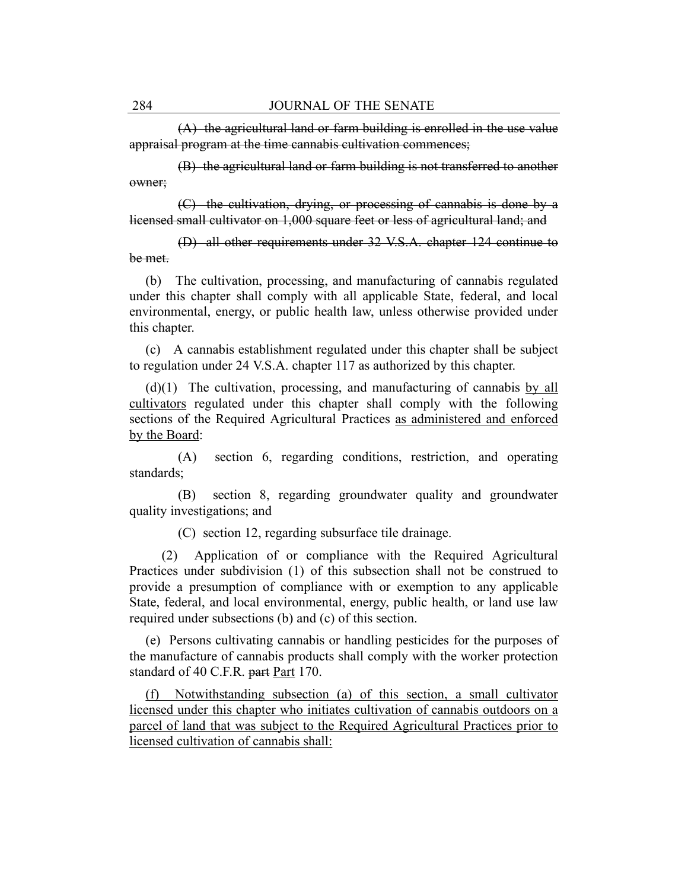(A) the agricultural land or farm building is enrolled in the use value appraisal program at the time cannabis cultivation commences;

(B) the agricultural land or farm building is not transferred to another owner;

(C) the cultivation, drying, or processing of cannabis is done by a licensed small cultivator on 1,000 square feet or less of agricultural land; and

(D) all other requirements under 32 V.S.A. chapter 124 continue to be met.

(b) The cultivation, processing, and manufacturing of cannabis regulated under this chapter shall comply with all applicable State, federal, and local environmental, energy, or public health law, unless otherwise provided under this chapter.

(c) A cannabis establishment regulated under this chapter shall be subject to regulation under 24 V.S.A. chapter 117 as authorized by this chapter.

(d)(1) The cultivation, processing, and manufacturing of cannabis by all cultivators regulated under this chapter shall comply with the following sections of the Required Agricultural Practices as administered and enforced by the Board:

(A) section 6, regarding conditions, restriction, and operating standards;

(B) section 8, regarding groundwater quality and groundwater quality investigations; and

(C) section 12, regarding subsurface tile drainage.

(2) Application of or compliance with the Required Agricultural Practices under subdivision (1) of this subsection shall not be construed to provide a presumption of compliance with or exemption to any applicable State, federal, and local environmental, energy, public health, or land use law required under subsections (b) and (c) of this section.

(e) Persons cultivating cannabis or handling pesticides for the purposes of the manufacture of cannabis products shall comply with the worker protection standard of 40 C.F.R. part Part 170.

(f) Notwithstanding subsection (a) of this section, a small cultivator licensed under this chapter who initiates cultivation of cannabis outdoors on a parcel of land that was subject to the Required Agricultural Practices prior to licensed cultivation of cannabis shall: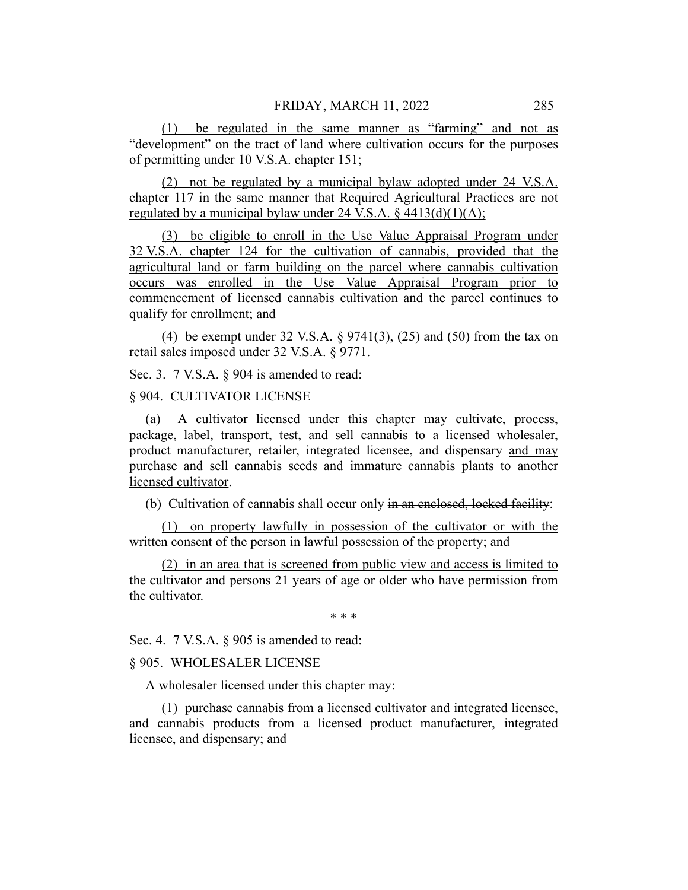(1) be regulated in the same manner as "farming" and not as "development" on the tract of land where cultivation occurs for the purposes of permitting under 10 V.S.A. chapter 151;

(2) not be regulated by a municipal bylaw adopted under 24 V.S.A. chapter 117 in the same manner that Required Agricultural Practices are not regulated by a municipal bylaw under 24 V.S.A.  $\S$  4413(d)(1)(A);

(3) be eligible to enroll in the Use Value Appraisal Program under 32 V.S.A. chapter 124 for the cultivation of cannabis, provided that the agricultural land or farm building on the parcel where cannabis cultivation occurs was enrolled in the Use Value Appraisal Program prior to commencement of licensed cannabis cultivation and the parcel continues to qualify for enrollment; and

(4) be exempt under 32 V.S.A.  $\S 9741(3)$ , (25) and (50) from the tax on retail sales imposed under 32 V.S.A. § 9771.

Sec. 3. 7 V.S.A.  $\&$  904 is amended to read:

#### § 904. CULTIVATOR LICENSE

(a) A cultivator licensed under this chapter may cultivate, process, package, label, transport, test, and sell cannabis to a licensed wholesaler, product manufacturer, retailer, integrated licensee, and dispensary and may purchase and sell cannabis seeds and immature cannabis plants to another licensed cultivator.

(b) Cultivation of cannabis shall occur only in an enclosed, locked facility:

(1) on property lawfully in possession of the cultivator or with the written consent of the person in lawful possession of the property; and

(2) in an area that is screened from public view and access is limited to the cultivator and persons 21 years of age or older who have permission from the cultivator.

\* \* \*

Sec. 4. 7 V.S.A. § 905 is amended to read:

#### § 905. WHOLESALER LICENSE

A wholesaler licensed under this chapter may:

(1) purchase cannabis from a licensed cultivator and integrated licensee, and cannabis products from a licensed product manufacturer, integrated licensee, and dispensary; and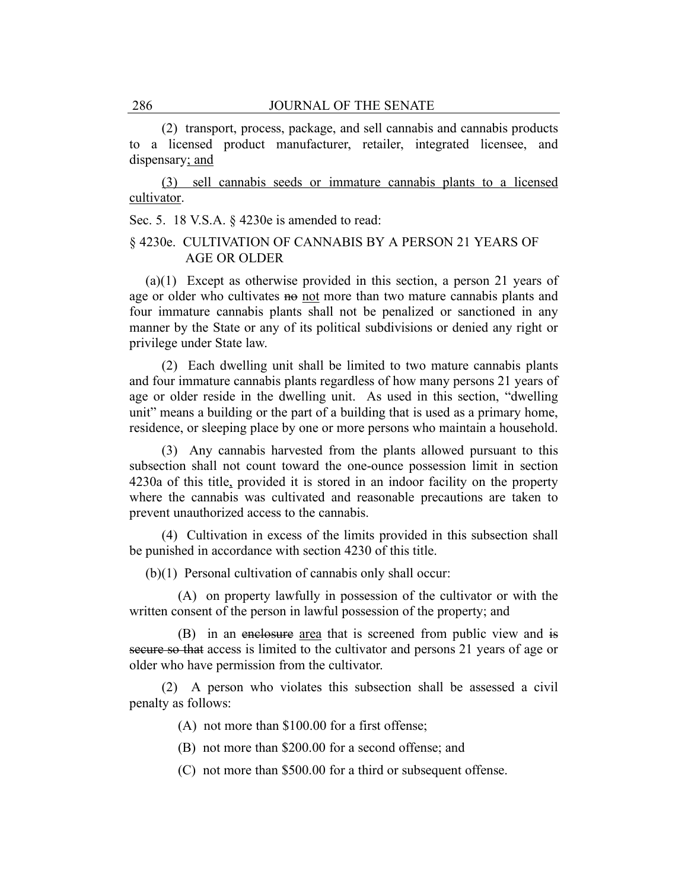(2) transport, process, package, and sell cannabis and cannabis products to a licensed product manufacturer, retailer, integrated licensee, and dispensary; and

(3) sell cannabis seeds or immature cannabis plants to a licensed cultivator.

Sec. 5. 18 V.S.A. § 4230e is amended to read:

## § 4230e. CULTIVATION OF CANNABIS BY A PERSON 21 YEARS OF AGE OR OLDER

(a)(1) Except as otherwise provided in this section, a person 21 years of age or older who cultivates no not more than two mature cannabis plants and four immature cannabis plants shall not be penalized or sanctioned in any manner by the State or any of its political subdivisions or denied any right or privilege under State law.

(2) Each dwelling unit shall be limited to two mature cannabis plants and four immature cannabis plants regardless of how many persons 21 years of age or older reside in the dwelling unit. As used in this section, "dwelling unit" means a building or the part of a building that is used as a primary home, residence, or sleeping place by one or more persons who maintain a household.

(3) Any cannabis harvested from the plants allowed pursuant to this subsection shall not count toward the one-ounce possession limit in section 4230a of this title, provided it is stored in an indoor facility on the property where the cannabis was cultivated and reasonable precautions are taken to prevent unauthorized access to the cannabis.

(4) Cultivation in excess of the limits provided in this subsection shall be punished in accordance with section 4230 of this title.

(b)(1) Personal cultivation of cannabis only shall occur:

(A) on property lawfully in possession of the cultivator or with the written consent of the person in lawful possession of the property; and

(B) in an enclosure area that is screened from public view and is secure so that access is limited to the cultivator and persons 21 years of age or older who have permission from the cultivator.

(2) A person who violates this subsection shall be assessed a civil penalty as follows:

(A) not more than \$100.00 for a first offense;

(B) not more than \$200.00 for a second offense; and

(C) not more than \$500.00 for a third or subsequent offense.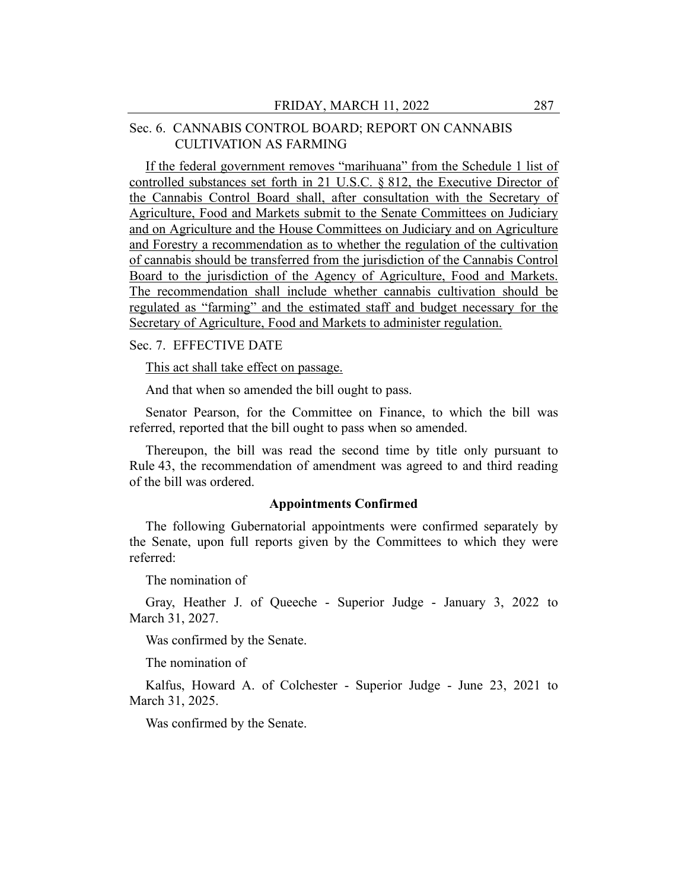# Sec. 6. CANNABIS CONTROL BOARD; REPORT ON CANNABIS CULTIVATION AS FARMING

If the federal government removes "marihuana" from the Schedule 1 list of controlled substances set forth in 21 U.S.C. § 812, the Executive Director of the Cannabis Control Board shall, after consultation with the Secretary of Agriculture, Food and Markets submit to the Senate Committees on Judiciary and on Agriculture and the House Committees on Judiciary and on Agriculture and Forestry a recommendation as to whether the regulation of the cultivation of cannabis should be transferred from the jurisdiction of the Cannabis Control Board to the jurisdiction of the Agency of Agriculture, Food and Markets. The recommendation shall include whether cannabis cultivation should be regulated as "farming" and the estimated staff and budget necessary for the Secretary of Agriculture, Food and Markets to administer regulation.

#### Sec. 7. EFFECTIVE DATE

This act shall take effect on passage.

And that when so amended the bill ought to pass.

Senator Pearson, for the Committee on Finance, to which the bill was referred, reported that the bill ought to pass when so amended.

Thereupon, the bill was read the second time by title only pursuant to Rule 43, the recommendation of amendment was agreed to and third reading of the bill was ordered.

#### **Appointments Confirmed**

The following Gubernatorial appointments were confirmed separately by the Senate, upon full reports given by the Committees to which they were referred:

The nomination of

Gray, Heather J. of Queeche - Superior Judge - January 3, 2022 to March 31, 2027.

Was confirmed by the Senate.

The nomination of

Kalfus, Howard A. of Colchester - Superior Judge - June 23, 2021 to March 31, 2025.

Was confirmed by the Senate.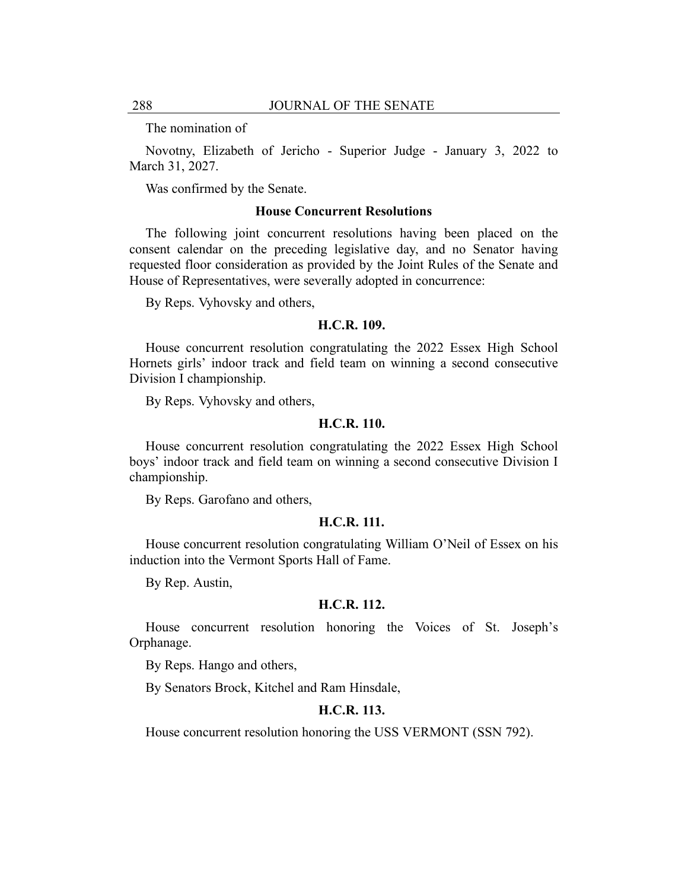The nomination of

Novotny, Elizabeth of Jericho - Superior Judge - January 3, 2022 to March 31, 2027.

Was confirmed by the Senate.

## **House Concurrent Resolutions**

The following joint concurrent resolutions having been placed on the consent calendar on the preceding legislative day, and no Senator having requested floor consideration as provided by the Joint Rules of the Senate and House of Representatives, were severally adopted in concurrence:

By Reps. Vyhovsky and others,

#### **H.C.R. 109.**

House concurrent resolution congratulating the 2022 Essex High School Hornets girls' indoor track and field team on winning a second consecutive Division I championship.

By Reps. Vyhovsky and others,

#### **H.C.R. 110.**

House concurrent resolution congratulating the 2022 Essex High School boys' indoor track and field team on winning a second consecutive Division I championship.

By Reps. Garofano and others,

#### **H.C.R. 111.**

House concurrent resolution congratulating William O'Neil of Essex on his induction into the Vermont Sports Hall of Fame.

By Rep. Austin,

#### **H.C.R. 112.**

House concurrent resolution honoring the Voices of St. Joseph's Orphanage.

By Reps. Hango and others,

By Senators Brock, Kitchel and Ram Hinsdale,

### **H.C.R. 113.**

House concurrent resolution honoring the USS VERMONT (SSN 792).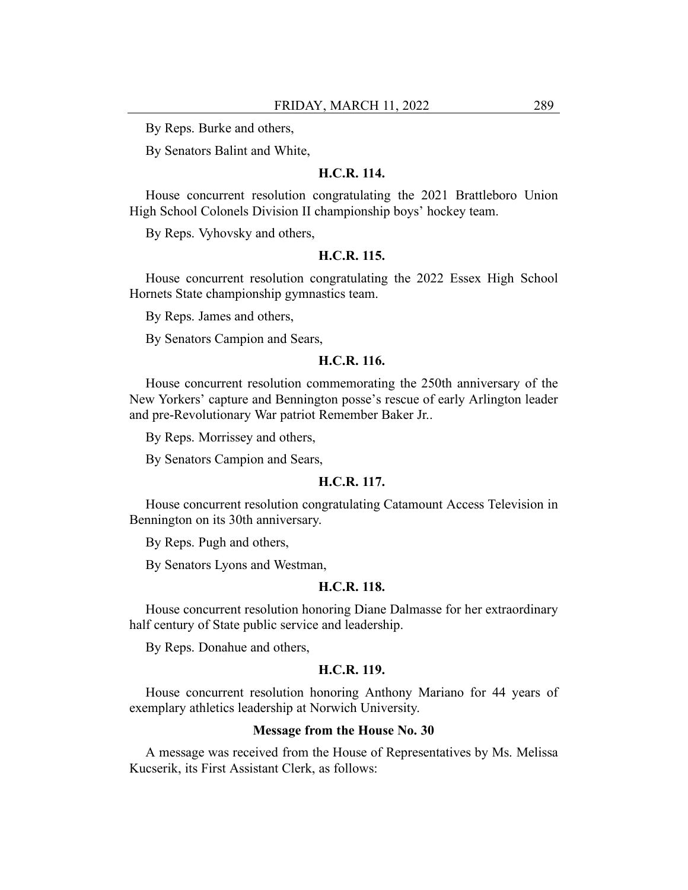By Reps. Burke and others,

By Senators Balint and White,

#### **H.C.R. 114.**

House concurrent resolution congratulating the 2021 Brattleboro Union High School Colonels Division II championship boys' hockey team.

By Reps. Vyhovsky and others,

#### **H.C.R. 115.**

House concurrent resolution congratulating the 2022 Essex High School Hornets State championship gymnastics team.

By Reps. James and others,

By Senators Campion and Sears,

#### **H.C.R. 116.**

House concurrent resolution commemorating the 250th anniversary of the New Yorkers' capture and Bennington posse's rescue of early Arlington leader and pre-Revolutionary War patriot Remember Baker Jr..

By Reps. Morrissey and others,

By Senators Campion and Sears,

#### **H.C.R. 117.**

House concurrent resolution congratulating Catamount Access Television in Bennington on its 30th anniversary.

By Reps. Pugh and others,

By Senators Lyons and Westman,

## **H.C.R. 118.**

House concurrent resolution honoring Diane Dalmasse for her extraordinary half century of State public service and leadership.

By Reps. Donahue and others,

## **H.C.R. 119.**

House concurrent resolution honoring Anthony Mariano for 44 years of exemplary athletics leadership at Norwich University.

#### **Message from the House No. 30**

A message was received from the House of Representatives by Ms. Melissa Kucserik, its First Assistant Clerk, as follows: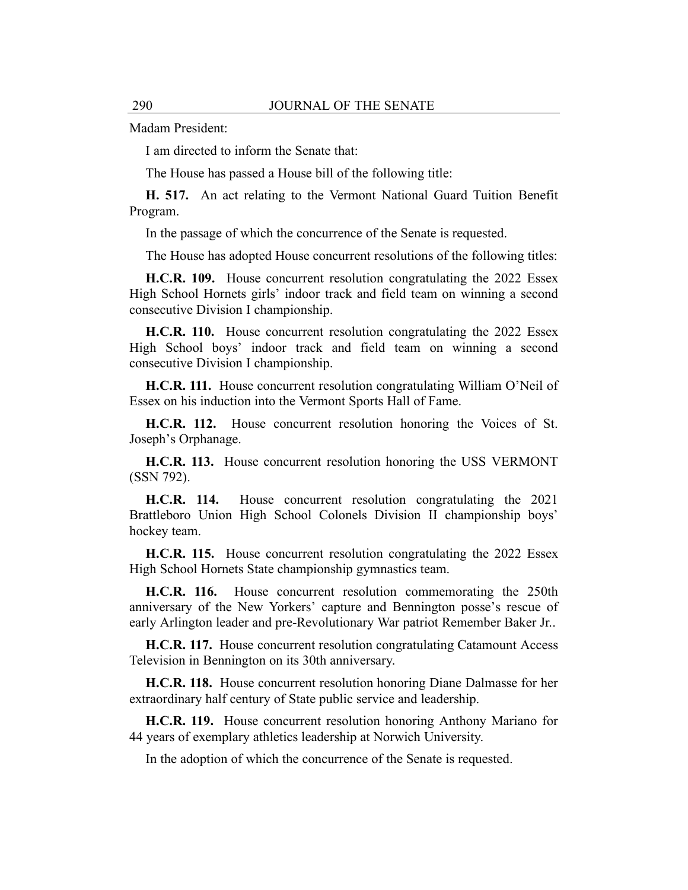Madam President:

I am directed to inform the Senate that:

The House has passed a House bill of the following title:

**H. 517.** An act relating to the Vermont National Guard Tuition Benefit Program.

In the passage of which the concurrence of the Senate is requested.

The House has adopted House concurrent resolutions of the following titles:

**H.C.R. 109.** House concurrent resolution congratulating the 2022 Essex High School Hornets girls' indoor track and field team on winning a second consecutive Division I championship.

**H.C.R. 110.** House concurrent resolution congratulating the 2022 Essex High School boys' indoor track and field team on winning a second consecutive Division I championship.

**H.C.R. 111.** House concurrent resolution congratulating William O'Neil of Essex on his induction into the Vermont Sports Hall of Fame.

**H.C.R. 112.** House concurrent resolution honoring the Voices of St. Joseph's Orphanage.

**H.C.R. 113.** House concurrent resolution honoring the USS VERMONT (SSN 792).

**H.C.R. 114.** House concurrent resolution congratulating the 2021 Brattleboro Union High School Colonels Division II championship boys' hockey team.

**H.C.R. 115.** House concurrent resolution congratulating the 2022 Essex High School Hornets State championship gymnastics team.

**H.C.R. 116.** House concurrent resolution commemorating the 250th anniversary of the New Yorkers' capture and Bennington posse's rescue of early Arlington leader and pre-Revolutionary War patriot Remember Baker Jr..

**H.C.R. 117.** House concurrent resolution congratulating Catamount Access Television in Bennington on its 30th anniversary.

**H.C.R. 118.** House concurrent resolution honoring Diane Dalmasse for her extraordinary half century of State public service and leadership.

**H.C.R. 119.** House concurrent resolution honoring Anthony Mariano for 44 years of exemplary athletics leadership at Norwich University.

In the adoption of which the concurrence of the Senate is requested.